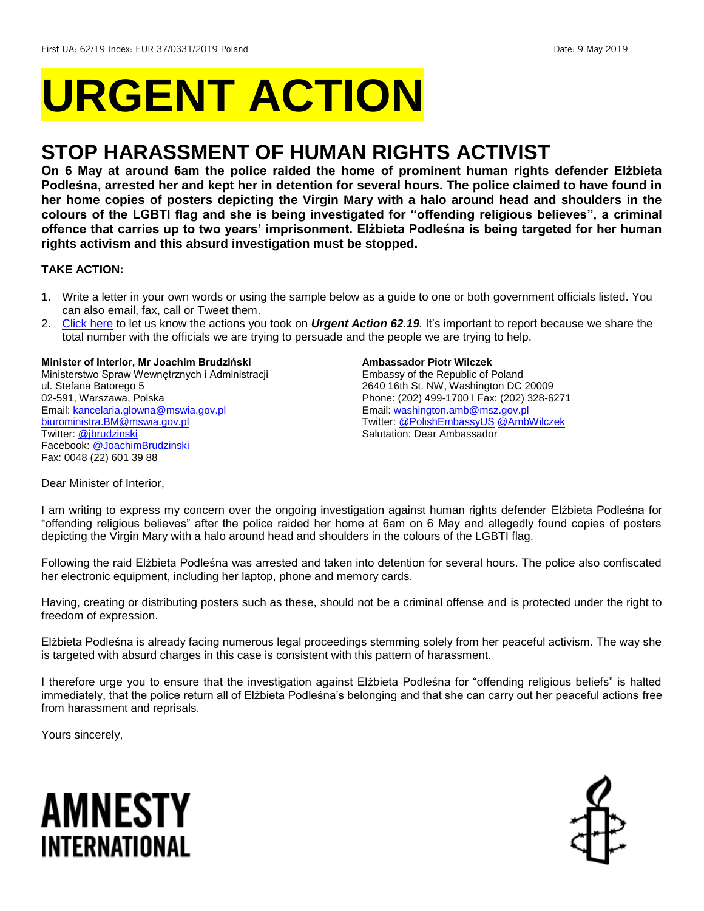# **URGENT ACTION**

## **STOP HARASSMENT OF HUMAN RIGHTS ACTIVIST**

**On 6 May at around 6am the police raided the home of prominent human rights defender Elżbieta Podleśna, arrested her and kept her in detention for several hours. The police claimed to have found in her home copies of posters depicting the Virgin Mary with a halo around head and shoulders in the colours of the LGBTI flag and she is being investigated for "offending religious believes", a criminal offence that carries up to two years' imprisonment. Elżbieta Podleśna is being targeted for her human rights activism and this absurd investigation must be stopped.**

#### **TAKE ACTION:**

- 1. Write a letter in your own words or using the sample below as a guide to one or both government officials listed. You can also email, fax, call or Tweet them.
- 2. [Click here](https://www.amnestyusa.org/report-urgent-actions/) to let us know the actions you took on *Urgent Action 62.19.* It's important to report because we share the total number with the officials we are trying to persuade and the people we are trying to help.

#### **Minister of Interior, Mr Joachim Brudziński**

Ministerstwo Spraw Wewnętrznych i Administracji ul. Stefana Batorego 5 02-591, Warszawa, Polska Email[: kancelaria.glowna@mswia.gov.pl](mailto:kancelaria.glowna@mswia.gov.pl) [biuroministra.BM@mswia.gov.pl](mailto:biuroministra.BM@mswia.gov.pl) Twitter: [@jbrudzinski](https://twitter.com/jbrudzinski?lang=en) Facebook[: @JoachimBrudzinski](https://www.facebook.com/JoachimBrudzinski/) Fax: 0048 (22) 601 39 88

#### **Ambassador Piotr Wilczek**

Embassy of the Republic of Poland 2640 16th St. NW, Washington DC 20009 Phone: (202) 499-1700 I Fax: (202) 328-6271 Email[: washington.amb@msz.gov.pl](mailto:washington.amb@msz.gov.pl) Twitter: [@PolishEmbassyUS](https://twitter.com/PolishEmbassyUS?ref_src=twsrc%5Egoogle%7Ctwcamp%5Eserp%7Ctwgr%5Eauthor) [@AmbWilczek](https://twitter.com/ambwilczek?lang=en) Salutation: Dear Ambassador

Dear Minister of Interior,

I am writing to express my concern over the ongoing investigation against human rights defender Elżbieta Podleśna for "offending religious believes" after the police raided her home at 6am on 6 May and allegedly found copies of posters depicting the Virgin Mary with a halo around head and shoulders in the colours of the LGBTI flag.

Following the raid Elżbieta Podleśna was arrested and taken into detention for several hours. The police also confiscated her electronic equipment, including her laptop, phone and memory cards.

Having, creating or distributing posters such as these, should not be a criminal offense and is protected under the right to freedom of expression.

Elżbieta Podleśna is already facing numerous legal proceedings stemming solely from her peaceful activism. The way she is targeted with absurd charges in this case is consistent with this pattern of harassment.

I therefore urge you to ensure that the investigation against Elżbieta Podleśna for "offending religious beliefs" is halted immediately, that the police return all of Elżbieta Podleśna's belonging and that she can carry out her peaceful actions free from harassment and reprisals.

Yours sincerely,